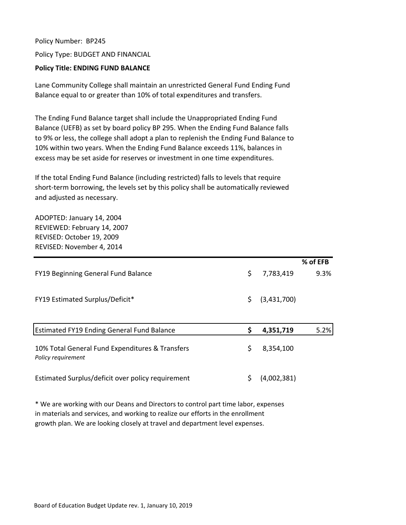Policy Number: BP245 Policy Type: BUDGET AND FINANCIAL

## **Policy Title: ENDING FUND BALANCE**

Lane Community College shall maintain an unrestricted General Fund Ending Fund Balance equal to or greater than 10% of total expenditures and transfers.

The Ending Fund Balance target shall include the Unappropriated Ending Fund Balance (UEFB) as set by board policy BP 295. When the Ending Fund Balance falls to 9% or less, the college shall adopt a plan to replenish the Ending Fund Balance to 10% within two years. When the Ending Fund Balance exceeds 11%, balances in excess may be set aside for reserves or investment in one time expenditures.

If the total Ending Fund Balance (including restricted) falls to levels that require short-term borrowing, the levels set by this policy shall be automatically reviewed and adjusted as necessary.

ADOPTED: January 14, 2004 REVIEWED: February 14, 2007 REVISED: October 19, 2009 REVISED: November 4, 2014

|                                                   |                   | % of EFB |
|---------------------------------------------------|-------------------|----------|
| FY19 Beginning General Fund Balance               | \$<br>7,783,419   | 9.3%     |
|                                                   |                   |          |
| <b>FY19 Estimated Surplus/Deficit*</b>            | \$<br>(3,431,700) |          |
|                                                   |                   |          |
|                                                   |                   |          |
| <b>Estimated FY19 Ending General Fund Balance</b> | \$<br>4,351,719   | 5.2%     |
|                                                   |                   |          |
| 10% Total General Fund Expenditures & Transfers   | \$<br>8,354,100   |          |
| Policy requirement                                |                   |          |
| Estimated Surplus/deficit over policy requirement | \$<br>(4,002,381) |          |
|                                                   |                   |          |

\* We are working with our Deans and Directors to control part time labor, expenses in materials and services, and working to realize our efforts in the enrollment growth plan. We are looking closely at travel and department level expenses.